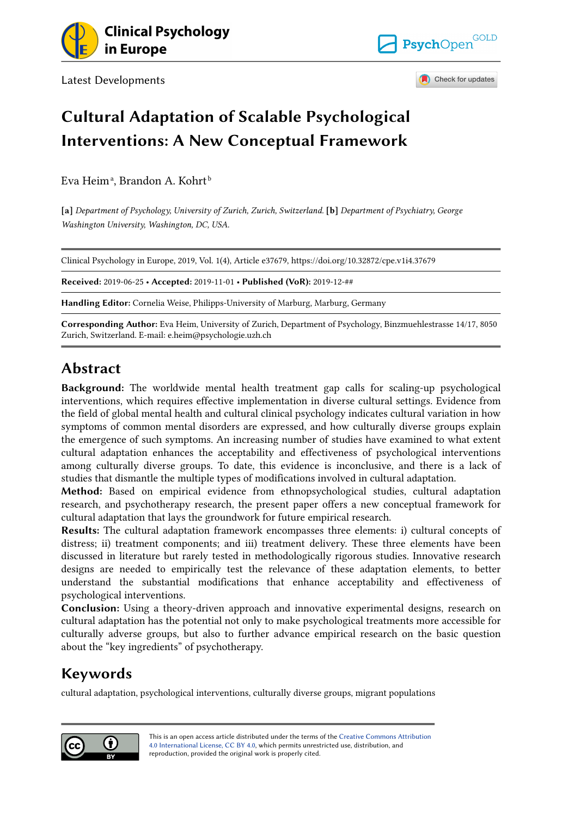

Latest Developments



Check for updates

## Cultural Adaptation of Scalable Psychological Interventions: A New Conceptual Framework

Eva Heimª, Brandon A. Kohrt<sup>ŀ</sup>

[a] Department of Psychology, University of Zurich, Zurich, Switzerland. [b] Department of Psychiatry. George Washington University, Washington, DC, USA.

Clinical Psychology in Europe, 2019, Vol. 1(4), Article e37679, https://doi.org/10.32872/cpe.v1i4.37679

Received: 2019-06-25 • Accepted: 2019-11-01 • Published (VoR): 2019-12-##

Handling Editor: Cornelia Weise, Philipps-University of Marburg, Marburg, Germany

Corresponding Author: Eva Heim, University of Zurich, Department of Psychology, Binzmuehlestrasse 14/17, 8050 Zurich, Switzerland. E-mail: e.heim@psychologie.uzh.ch

## Abstract

Background: The worldwide mental health treatment gap calls for scaling-up psychological interventions, which requires effective implementation in diverse cultural settings. Evidence from the field of global mental health and cultural clinical psychology indicates cultural variation in how symptoms of common mental disorders are expressed, and how culturally diverse groups explain the emergence of such symptoms. An increasing number of studies have examined to what extent cultural adaptation enhances the acceptability and effectiveness of psychological interventions among culturally diverse groups. To date, this evidence is inconclusive, and there is a lack of studies that dismantle the multiple types of modifications involved in cultural adaptation.

Method: Based on empirical evidence from ethnopsychological studies, cultural adaptation research, and psychotherapy research, the present paper offers a new conceptual framework for cultural adaptation that lays the groundwork for future empirical research.

Results: The cultural adaptation framework encompasses three elements: i) cultural concepts of distress; ii) treatment components; and iii) treatment delivery. These three elements have been discussed in literature but rarely tested in methodologically rigorous studies. Innovative research designs are needed to empirically test the relevance of these adaptation elements, to better understand the substantial modifications that enhance acceptability and effectiveness of psychological interventions.

Conclusion: Using a theory-driven approach and innovative experimental designs, research on cultural adaptation has the potential not only to make psychological treatments more accessible for culturally adverse groups, but also to further advance empirical research on the basic question about the "key ingredients" of psychotherapy.

## Keywords

cultural adaptation, psychological interventions, culturally diverse groups, migrant populations

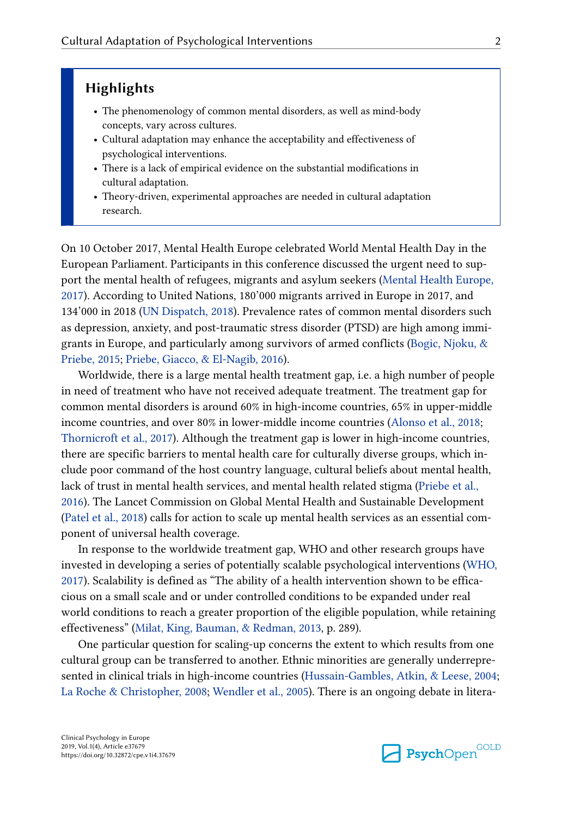### Highlights

- The phenomenology of common mental disorders, as well as mind-body concepts, vary across cultures.
- Cultural adaptation may enhance the acceptability and effectiveness of psychological interventions.
- There is a lack of empirical evidence on the substantial modifications in cultural adaptation.
- Theory-driven, experimental approaches are needed in cultural adaptation research.

On 10 October 2017, Mental Health Europe celebrated World Mental Health Day in the European Parliament. Participants in this conference discussed the urgent need to sup‐ port the mental health of refugees, migrants and asylum seekers ([Mental Health Europe,](#page-18-0) [2017\)](#page-18-0). According to United Nations, 180'000 migrants arrived in Europe in 2017, and 134'000 in 2018 ([UN Dispatch, 2018](#page-20-0)). Prevalence rates of common mental disorders such as depression, anxiety, and post-traumatic stress disorder (PTSD) are high among immigrants in Europe, and particularly among survivors of armed conflicts [\(Bogic, Njoku, &](#page-15-0) [Priebe, 2015](#page-15-0); [Priebe, Giacco, & El-Nagib, 2016\)](#page-18-0).

Worldwide, there is a large mental health treatment gap, i.e. a high number of people in need of treatment who have not received adequate treatment. The treatment gap for common mental disorders is around 60% in high-income countries, 65% in upper-middle income countries, and over 80% in lower-middle income countries ([Alonso et al., 2018;](#page-14-0) [Thornicroft et al., 2017\)](#page-19-0). Although the treatment gap is lower in high-income countries, there are specific barriers to mental health care for culturally diverse groups, which in‐ clude poor command of the host country language, cultural beliefs about mental health, lack of trust in mental health services, and mental health related stigma ([Priebe et al.,](#page-18-0) [2016\)](#page-18-0). The Lancet Commission on Global Mental Health and Sustainable Development [\(Patel et al., 2018\)](#page-18-0) calls for action to scale up mental health services as an essential component of universal health coverage.

In response to the worldwide treatment gap, WHO and other research groups have invested in developing a series of potentially scalable psychological interventions [\(WHO,](#page-20-0) [2017\)](#page-20-0). Scalability is defined as "The ability of a health intervention shown to be effica‐ cious on a small scale and or under controlled conditions to be expanded under real world conditions to reach a greater proportion of the eligible population, while retaining effectiveness" ([Milat, King, Bauman, & Redman, 2013](#page-18-0), p. 289).

One particular question for scaling-up concerns the extent to which results from one cultural group can be transferred to another. Ethnic minorities are generally underrepre‐ sented in clinical trials in high-income countries ([Hussain-Gambles, Atkin, & Leese, 2004;](#page-17-0) [La Roche & Christopher, 2008](#page-18-0); [Wendler et al., 2005\)](#page-20-0). There is an ongoing debate in litera-

**Psych**Open<sup>GOLD</sup>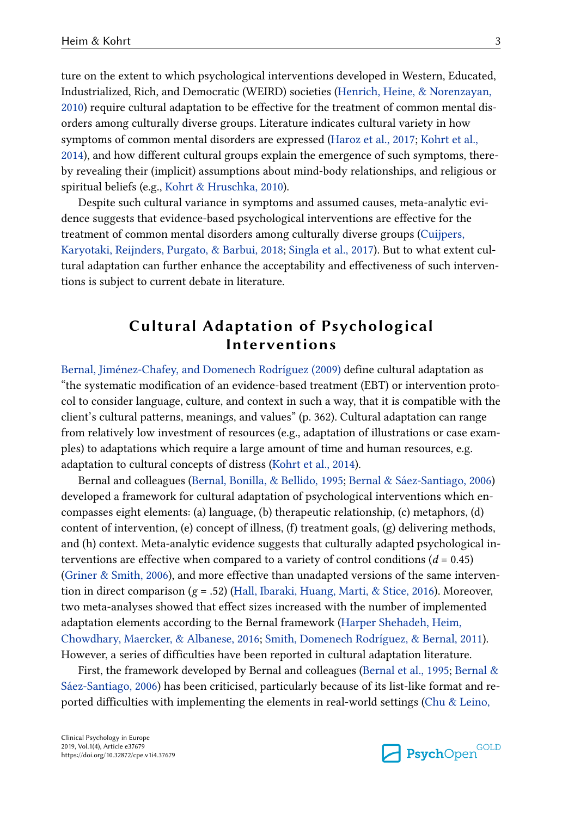ture on the extent to which psychological interventions developed in Western, Educated, Industrialized, Rich, and Democratic (WEIRD) societies [\(Henrich, Heine, & Norenzayan,](#page-17-0) [2010\)](#page-17-0) require cultural adaptation to be effective for the treatment of common mental dis‐ orders among culturally diverse groups. Literature indicates cultural variety in how symptoms of common mental disorders are expressed ([Haroz et al., 2017;](#page-16-0) [Kohrt et al.,](#page-17-0) [2014\)](#page-17-0), and how different cultural groups explain the emergence of such symptoms, there‐ by revealing their (implicit) assumptions about mind-body relationships, and religious or spiritual beliefs (e.g., [Kohrt & Hruschka, 2010\)](#page-17-0).

Despite such cultural variance in symptoms and assumed causes, meta-analytic evidence suggests that evidence-based psychological interventions are effective for the treatment of common mental disorders among culturally diverse groups [\(Cuijpers,](#page-16-0) [Karyotaki, Reijnders, Purgato, & Barbui, 2018;](#page-16-0) [Singla et al., 2017](#page-19-0)). But to what extent cul‐ tural adaptation can further enhance the acceptability and effectiveness of such interven‐ tions is subject to current debate in literature.

## Cultural Adaptation of Psychological Interventions

[Bernal, Jiménez-Chafey, and Domenech Rodríguez \(2009\)](#page-15-0) define cultural adaptation as "the systematic modification of an evidence-based treatment (EBT) or intervention proto‐ col to consider language, culture, and context in such a way, that it is compatible with the client's cultural patterns, meanings, and values" (p. 362). Cultural adaptation can range from relatively low investment of resources (e.g., adaptation of illustrations or case examples) to adaptations which require a large amount of time and human resources, e.g. adaptation to cultural concepts of distress ([Kohrt et al., 2014\)](#page-17-0).

Bernal and colleagues ([Bernal, Bonilla, & Bellido, 1995;](#page-15-0) [Bernal & Sáez-Santiago, 2006](#page-15-0)) developed a framework for cultural adaptation of psychological interventions which encompasses eight elements: (a) language, (b) therapeutic relationship, (c) metaphors, (d) content of intervention, (e) concept of illness, (f) treatment goals, (g) delivering methods, and (h) context. Meta-analytic evidence suggests that culturally adapted psychological in‐ terventions are effective when compared to a variety of control conditions  $(d = 0.45)$ [\(Griner & Smith, 2006](#page-16-0)), and more effective than unadapted versions of the same interven‐ tion in direct comparison  $(g = .52)$  ([Hall, Ibaraki, Huang, Marti, & Stice, 2016\)](#page-16-0). Moreover, two meta-analyses showed that effect sizes increased with the number of implemented adaptation elements according to the Bernal framework [\(Harper Shehadeh, Heim,](#page-17-0) [Chowdhary, Maercker, & Albanese, 2016](#page-17-0); [Smith, Domenech Rodríguez, & Bernal, 2011\)](#page-19-0). However, a series of difficulties have been reported in cultural adaptation literature.

First, the framework developed by Bernal and colleagues [\(Bernal et al., 1995](#page-15-0); [Bernal &](#page-15-0) [Sáez-Santiago, 2006](#page-15-0)) has been criticised, particularly because of its list-like format and re‐ ported difficulties with implementing the elements in real-world settings ([Chu & Leino,](#page-15-0)

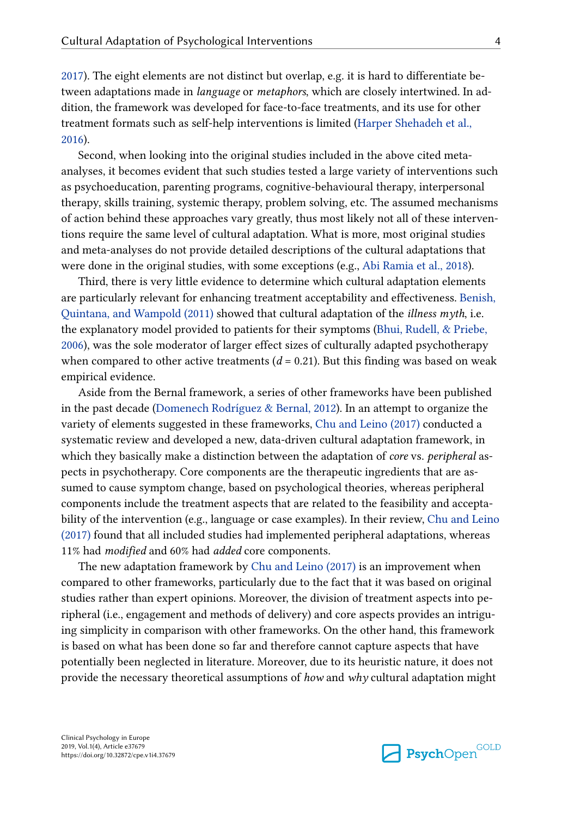[2017\)](#page-15-0). The eight elements are not distinct but overlap, e.g. it is hard to differentiate be‐ tween adaptations made in *language* or *metaphors*, which are closely intertwined. In addition, the framework was developed for face-to-face treatments, and its use for other treatment formats such as self-help interventions is limited ([Harper Shehadeh et al.,](#page-17-0) [2016\)](#page-17-0).

Second, when looking into the original studies included in the above cited metaanalyses, it becomes evident that such studies tested a large variety of interventions such as psychoeducation, parenting programs, cognitive-behavioural therapy, interpersonal therapy, skills training, systemic therapy, problem solving, etc. The assumed mechanisms of action behind these approaches vary greatly, thus most likely not all of these interven‐ tions require the same level of cultural adaptation. What is more, most original studies and meta-analyses do not provide detailed descriptions of the cultural adaptations that were done in the original studies, with some exceptions (e.g., [Abi Ramia et al., 2018\)](#page-14-0).

Third, there is very little evidence to determine which cultural adaptation elements are particularly relevant for enhancing treatment acceptability and effectiveness. [Benish,](#page-15-0) [Quintana, and Wampold \(2011\)](#page-15-0) showed that cultural adaptation of the illness myth, i.e. the explanatory model provided to patients for their symptoms ([Bhui, Rudell, & Priebe,](#page-15-0) [2006\)](#page-15-0), was the sole moderator of larger effect sizes of culturally adapted psychotherapy when compared to other active treatments  $(d = 0.21)$ . But this finding was based on weak empirical evidence.

Aside from the Bernal framework, a series of other frameworks have been published in the past decade ([Domenech Rodríguez & Bernal, 2012\)](#page-16-0). In an attempt to organize the variety of elements suggested in these frameworks, [Chu and Leino \(2017\)](#page-15-0) conducted a systematic review and developed a new, data-driven cultural adaptation framework, in which they basically make a distinction between the adaptation of *core* vs. *peripheral* aspects in psychotherapy. Core components are the therapeutic ingredients that are assumed to cause symptom change, based on psychological theories, whereas peripheral components include the treatment aspects that are related to the feasibility and accepta‐ bility of the intervention (e.g., language or case examples). In their review, [Chu and Leino](#page-15-0) [\(2017\)](#page-15-0) found that all included studies had implemented peripheral adaptations, whereas 11% had modified and 60% had added core components.

The new adaptation framework by [Chu and Leino \(2017\)](#page-15-0) is an improvement when compared to other frameworks, particularly due to the fact that it was based on original studies rather than expert opinions. Moreover, the division of treatment aspects into pe‐ ripheral (i.e., engagement and methods of delivery) and core aspects provides an intriguing simplicity in comparison with other frameworks. On the other hand, this framework is based on what has been done so far and therefore cannot capture aspects that have potentially been neglected in literature. Moreover, due to its heuristic nature, it does not provide the necessary theoretical assumptions of how and why cultural adaptation might

Clinical Psychology in Europe 2019, Vol.1(4), Article e37679 https://doi.org/10.32872/cpe.v1i4.37679

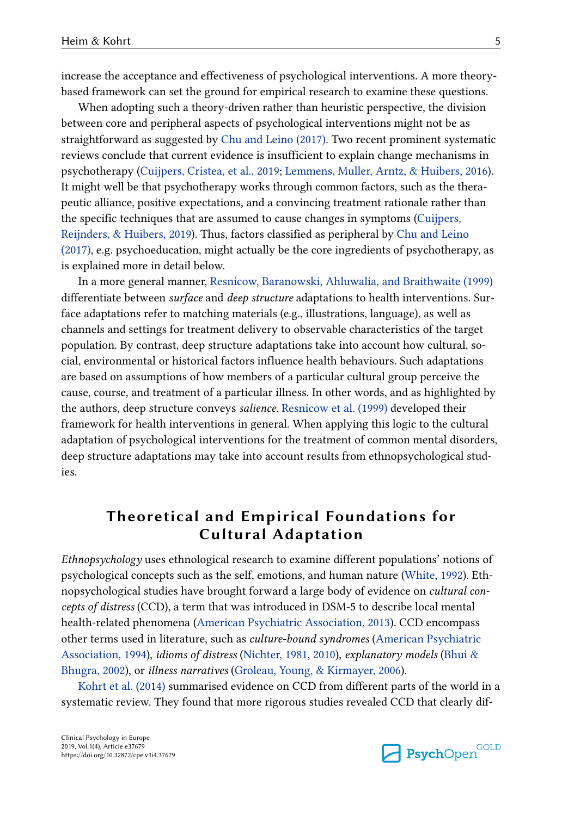increase the acceptance and effectiveness of psychological interventions. A more theorybased framework can set the ground for empirical research to examine these questions.

When adopting such a theory-driven rather than heuristic perspective, the division between core and peripheral aspects of psychological interventions might not be as straightforward as suggested by [Chu and Leino \(2017\)](#page-15-0). Two recent prominent systematic reviews conclude that current evidence is insufficient to explain change mechanisms in psychotherapy ([Cuijpers, Cristea, et al., 2019;](#page-16-0) [Lemmens, Muller, Arntz, & Huibers, 2016](#page-18-0)). It might well be that psychotherapy works through common factors, such as the thera‐ peutic alliance, positive expectations, and a convincing treatment rationale rather than the specific techniques that are assumed to cause changes in symptoms [\(Cuijpers,](#page-16-0) [Reijnders, & Huibers, 2019](#page-16-0)). Thus, factors classified as peripheral by [Chu and Leino](#page-15-0) [\(2017\),](#page-15-0) e.g. psychoeducation, might actually be the core ingredients of psychotherapy, as is explained more in detail below.

In a more general manner, [Resnicow, Baranowski, Ahluwalia, and Braithwaite \(1999\)](#page-19-0) differentiate between *surface* and *deep structure* adaptations to health interventions. Surface adaptations refer to matching materials (e.g., illustrations, language), as well as channels and settings for treatment delivery to observable characteristics of the target population. By contrast, deep structure adaptations take into account how cultural, so‐ cial, environmental or historical factors influence health behaviours. Such adaptations are based on assumptions of how members of a particular cultural group perceive the cause, course, and treatment of a particular illness. In other words, and as highlighted by the authors, deep structure conveys salience. [Resnicow et al. \(1999\)](#page-19-0) developed their framework for health interventions in general. When applying this logic to the cultural adaptation of psychological interventions for the treatment of common mental disorders, deep structure adaptations may take into account results from ethnopsychological stud‐ ies.

## Theoretical and Empirical Foundations for Cultural Adaptation

Ethnopsychology uses ethnological research to examine different populations' notions of psychological concepts such as the self, emotions, and human nature [\(White, 1992](#page-20-0)). Eth‐ nopsychological studies have brought forward a large body of evidence on *cultural con*cepts of distress (CCD), a term that was introduced in DSM-5 to describe local mental health-related phenomena ([American Psychiatric Association, 2013\)](#page-15-0). CCD encompass other terms used in literature, such as culture-bound syndromes ([American Psychiatric](#page-14-0) [Association, 1994\)](#page-14-0), idioms of distress ([Nichter, 1981](#page-18-0), [2010](#page-18-0)), explanatory models ([Bhui &](#page-15-0) [Bhugra, 2002](#page-15-0)), or illness narratives [\(Groleau, Young, & Kirmayer, 2006\)](#page-16-0).

[Kohrt et al. \(2014\)](#page-17-0) summarised evidence on CCD from different parts of the world in a systematic review. They found that more rigorous studies revealed CCD that clearly dif‐

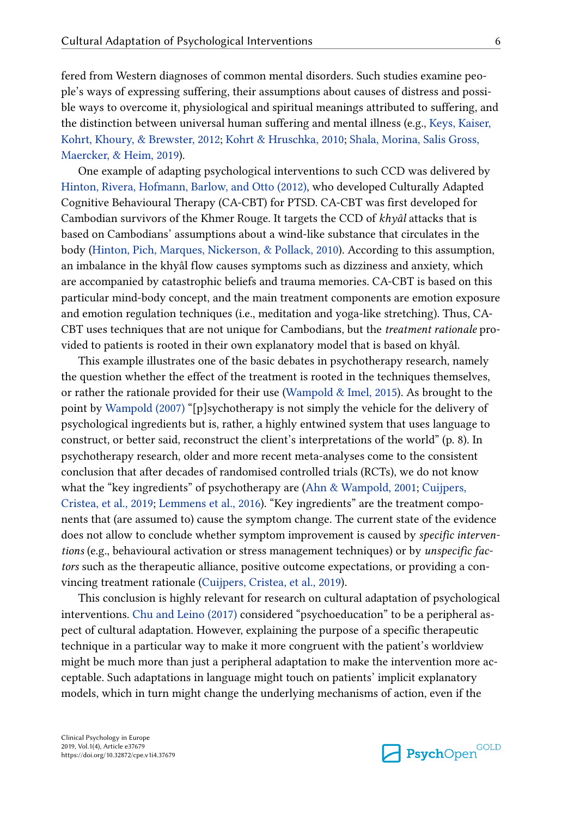fered from Western diagnoses of common mental disorders. Such studies examine peo‐ ple's ways of expressing suffering, their assumptions about causes of distress and possible ways to overcome it, physiological and spiritual meanings attributed to suffering, and the distinction between universal human suffering and mental illness (e.g., [Keys, Kaiser,](#page-17-0) [Kohrt, Khoury, & Brewster, 2012](#page-17-0); [Kohrt & Hruschka, 2010](#page-17-0); [Shala, Morina, Salis Gross,](#page-19-0) [Maercker, & Heim, 2019\)](#page-19-0).

One example of adapting psychological interventions to such CCD was delivered by [Hinton, Rivera, Hofmann, Barlow, and Otto \(2012\)](#page-17-0), who developed Culturally Adapted Cognitive Behavioural Therapy (CA-CBT) for PTSD. CA-CBT was first developed for Cambodian survivors of the Khmer Rouge. It targets the CCD of khyâl attacks that is based on Cambodians' assumptions about a wind-like substance that circulates in the body ([Hinton, Pich, Marques, Nickerson, & Pollack, 2010\)](#page-17-0). According to this assumption, an imbalance in the khyâl flow causes symptoms such as dizziness and anxiety, which are accompanied by catastrophic beliefs and trauma memories. CA-CBT is based on this particular mind-body concept, and the main treatment components are emotion exposure and emotion regulation techniques (i.e., meditation and yoga-like stretching). Thus, CA-CBT uses techniques that are not unique for Cambodians, but the *treatment rationale* provided to patients is rooted in their own explanatory model that is based on khyâl.

This example illustrates one of the basic debates in psychotherapy research, namely the question whether the effect of the treatment is rooted in the techniques themselves, or rather the rationale provided for their use [\(Wampold & Imel, 2015\)](#page-20-0). As brought to the point by [Wampold \(2007\)](#page-20-0) "[p]sychotherapy is not simply the vehicle for the delivery of psychological ingredients but is, rather, a highly entwined system that uses language to construct, or better said, reconstruct the client's interpretations of the world" (p. 8). In psychotherapy research, older and more recent meta-analyses come to the consistent conclusion that after decades of randomised controlled trials (RCTs), we do not know what the "key ingredients" of psychotherapy are [\(Ahn & Wampold, 2001;](#page-14-0) [Cuijpers,](#page-16-0) [Cristea, et al., 2019;](#page-16-0) [Lemmens et al., 2016](#page-18-0)). "Key ingredients" are the treatment compo‐ nents that (are assumed to) cause the symptom change. The current state of the evidence does not allow to conclude whether symptom improvement is caused by *specific interven*tions (e.g., behavioural activation or stress management techniques) or by *unspecific fac*tors such as the therapeutic alliance, positive outcome expectations, or providing a convincing treatment rationale [\(Cuijpers, Cristea, et al., 2019\)](#page-16-0).

This conclusion is highly relevant for research on cultural adaptation of psychological interventions. [Chu and Leino \(2017\)](#page-15-0) considered "psychoeducation" to be a peripheral as‐ pect of cultural adaptation. However, explaining the purpose of a specific therapeutic technique in a particular way to make it more congruent with the patient's worldview might be much more than just a peripheral adaptation to make the intervention more ac‐ ceptable. Such adaptations in language might touch on patients' implicit explanatory models, which in turn might change the underlying mechanisms of action, even if the

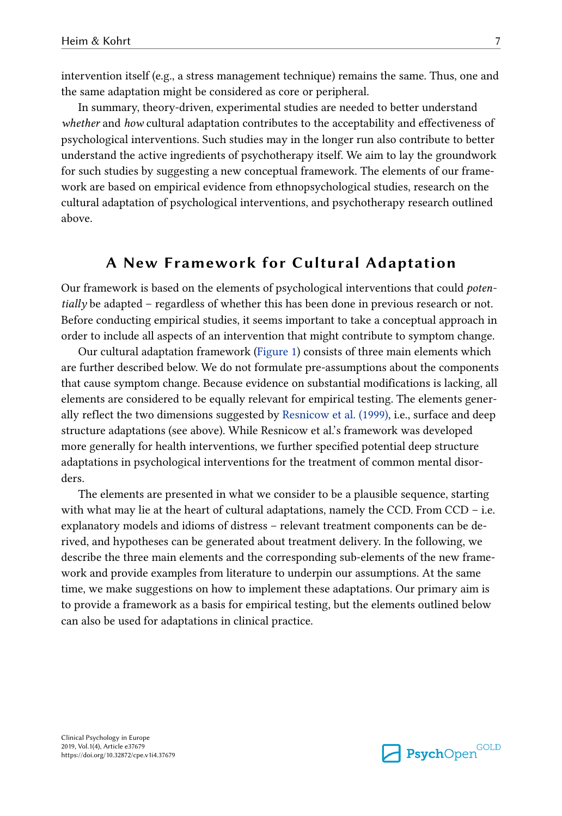intervention itself (e.g., a stress management technique) remains the same. Thus, one and the same adaptation might be considered as core or peripheral.

In summary, theory-driven, experimental studies are needed to better understand whether and how cultural adaptation contributes to the acceptability and effectiveness of psychological interventions. Such studies may in the longer run also contribute to better understand the active ingredients of psychotherapy itself. We aim to lay the groundwork for such studies by suggesting a new conceptual framework. The elements of our framework are based on empirical evidence from ethnopsychological studies, research on the cultural adaptation of psychological interventions, and psychotherapy research outlined above.

#### A New Framework for Cultural Adaptation

Our framework is based on the elements of psychological interventions that could potentially be adapted – regardless of whether this has been done in previous research or not. Before conducting empirical studies, it seems important to take a conceptual approach in order to include all aspects of an intervention that might contribute to symptom change.

Our cultural adaptation framework [\(Figure 1](#page-7-0)) consists of three main elements which are further described below. We do not formulate pre-assumptions about the components that cause symptom change. Because evidence on substantial modifications is lacking, all elements are considered to be equally relevant for empirical testing. The elements gener‐ ally reflect the two dimensions suggested by [Resnicow et al. \(1999\)](#page-19-0), i.e., surface and deep structure adaptations (see above). While Resnicow et al.'s framework was developed more generally for health interventions, we further specified potential deep structure adaptations in psychological interventions for the treatment of common mental disor‐ ders.

The elements are presented in what we consider to be a plausible sequence, starting with what may lie at the heart of cultural adaptations, namely the CCD. From  $CCD - i.e.$ explanatory models and idioms of distress – relevant treatment components can be de‐ rived, and hypotheses can be generated about treatment delivery. In the following, we describe the three main elements and the corresponding sub-elements of the new frame‐ work and provide examples from literature to underpin our assumptions. At the same time, we make suggestions on how to implement these adaptations. Our primary aim is to provide a framework as a basis for empirical testing, but the elements outlined below can also be used for adaptations in clinical practice.

Clinical Psychology in Europe 2019, Vol.1(4), Article e37679 https://doi.org/10.32872/cpe.v1i4.37679

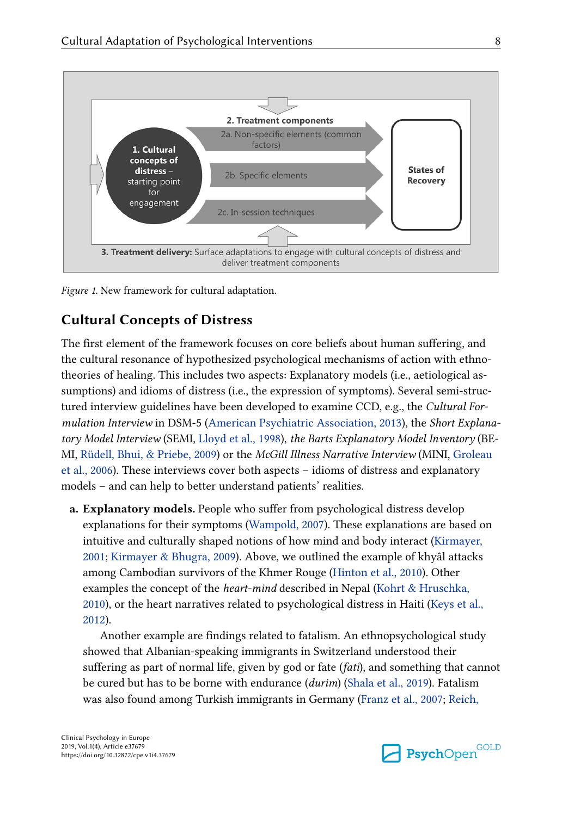<span id="page-7-0"></span>

Figure 1. New framework for cultural adaptation.

## Cultural Concepts of Distress

The first element of the framework focuses on core beliefs about human suffering, and the cultural resonance of hypothesized psychological mechanisms of action with ethno‐ theories of healing. This includes two aspects: Explanatory models (i.e., aetiological as‐ sumptions) and idioms of distress (i.e., the expression of symptoms). Several semi-structured interview guidelines have been developed to examine CCD, e.g., the *Cultural For-*mulation Interview in DSM-5 [\(American Psychiatric Association, 2013\)](#page-15-0), the Short Explana-tory Model Interview (SEMI, [Lloyd et al., 1998\)](#page-18-0), the Barts Explanatory Model Inventory (BE-MI, [Rüdell, Bhui, & Priebe, 2009](#page-19-0)) or the McGill Illness Narrative Interview (MINI, [Groleau](#page-16-0) [et al., 2006\)](#page-16-0). These interviews cover both aspects – idioms of distress and explanatory models – and can help to better understand patients' realities.

a. Explanatory models. People who suffer from psychological distress develop explanations for their symptoms [\(Wampold, 2007\)](#page-20-0). These explanations are based on intuitive and culturally shaped notions of how mind and body interact ([Kirmayer,](#page-17-0) [2001; Kirmayer & Bhugra, 2009](#page-17-0)). Above, we outlined the example of khyâl attacks among Cambodian survivors of the Khmer Rouge [\(Hinton et al., 2010\)](#page-17-0). Other examples the concept of the *heart-mind* described in Nepal ([Kohrt & Hruschka,](#page-17-0) [2010\)](#page-17-0), or the heart narratives related to psychological distress in Haiti ([Keys et al.,](#page-17-0) [2012\)](#page-17-0).

Another example are findings related to fatalism. An ethnopsychological study showed that Albanian-speaking immigrants in Switzerland understood their suffering as part of normal life, given by god or fate (fati), and something that cannot be cured but has to be borne with endurance (durim) ([Shala et al., 2019\)](#page-19-0). Fatalism was also found among Turkish immigrants in Germany ([Franz et al., 2007;](#page-16-0) [Reich,](#page-19-0)

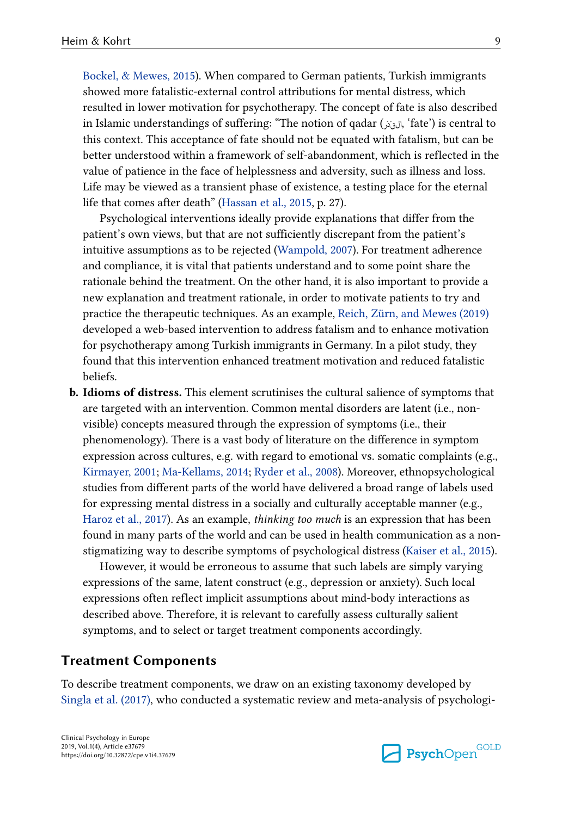[Bockel, & Mewes, 2015\)](#page-19-0). When compared to German patients, Turkish immigrants showed more fatalistic-external control attributions for mental distress, which resulted in lower motivation for psychotherapy. The concept of fate is also described in Islamic understandings of suffering: "The notion of qadar ( $\zeta_{\zeta}$ , 'fate') is central to this context. This acceptance of fate should not be equated with fatalism, but can be better understood within a framework of self-abandonment, which is reflected in the value of patience in the face of helplessness and adversity, such as illness and loss. Life may be viewed as a transient phase of existence, a testing place for the eternal life that comes after death" ([Hassan et al., 2015,](#page-17-0) p. 27).

Psychological interventions ideally provide explanations that differ from the patient's own views, but that are not sufficiently discrepant from the patient's intuitive assumptions as to be rejected [\(Wampold, 2007\)](#page-20-0). For treatment adherence and compliance, it is vital that patients understand and to some point share the rationale behind the treatment. On the other hand, it is also important to provide a new explanation and treatment rationale, in order to motivate patients to try and practice the therapeutic techniques. As an example, [Reich, Zürn, and Mewes \(2019\)](#page-19-0) developed a web-based intervention to address fatalism and to enhance motivation for psychotherapy among Turkish immigrants in Germany. In a pilot study, they found that this intervention enhanced treatment motivation and reduced fatalistic beliefs.

b. Idioms of distress. This element scrutinises the cultural salience of symptoms that are targeted with an intervention. Common mental disorders are latent (i.e., nonvisible) concepts measured through the expression of symptoms (i.e., their phenomenology). There is a vast body of literature on the difference in symptom expression across cultures, e.g. with regard to emotional vs. somatic complaints (e.g., [Kirmayer, 2001](#page-17-0); [Ma-Kellams, 2014;](#page-18-0) [Ryder et al., 2008](#page-19-0)). Moreover, ethnopsychological studies from different parts of the world have delivered a broad range of labels used for expressing mental distress in a socially and culturally acceptable manner (e.g., [Haroz et al., 2017](#page-16-0)). As an example, thinking too much is an expression that has been found in many parts of the world and can be used in health communication as a nonstigmatizing way to describe symptoms of psychological distress [\(Kaiser et al., 2015](#page-17-0)).

However, it would be erroneous to assume that such labels are simply varying expressions of the same, latent construct (e.g., depression or anxiety). Such local expressions often reflect implicit assumptions about mind-body interactions as described above. Therefore, it is relevant to carefully assess culturally salient symptoms, and to select or target treatment components accordingly.

#### Treatment Components

To describe treatment components, we draw on an existing taxonomy developed by [Singla et al. \(2017\)](#page-19-0), who conducted a systematic review and meta-analysis of psychologi-

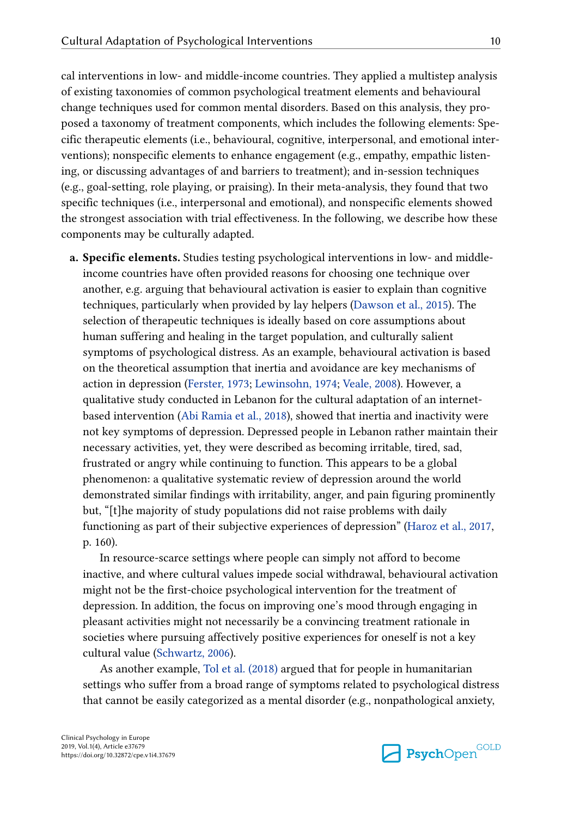cal interventions in low- and middle-income countries. They applied a multistep analysis of existing taxonomies of common psychological treatment elements and behavioural change techniques used for common mental disorders. Based on this analysis, they pro‐ posed a taxonomy of treatment components, which includes the following elements: Spe‐ cific therapeutic elements (i.e., behavioural, cognitive, interpersonal, and emotional inter‐ ventions); nonspecific elements to enhance engagement (e.g., empathy, empathic listening, or discussing advantages of and barriers to treatment); and in-session techniques (e.g., goal-setting, role playing, or praising). In their meta-analysis, they found that two specific techniques (i.e., interpersonal and emotional), and nonspecific elements showed the strongest association with trial effectiveness. In the following, we describe how these components may be culturally adapted.

a. Specific elements. Studies testing psychological interventions in low- and middleincome countries have often provided reasons for choosing one technique over another, e.g. arguing that behavioural activation is easier to explain than cognitive techniques, particularly when provided by lay helpers ([Dawson et al., 2015](#page-16-0)). The selection of therapeutic techniques is ideally based on core assumptions about human suffering and healing in the target population, and culturally salient symptoms of psychological distress. As an example, behavioural activation is based on the theoretical assumption that inertia and avoidance are key mechanisms of action in depression ([Ferster, 1973;](#page-16-0) [Lewinsohn, 1974;](#page-18-0) [Veale, 2008\)](#page-20-0). However, a qualitative study conducted in Lebanon for the cultural adaptation of an internetbased intervention ([Abi Ramia et al., 2018\)](#page-14-0), showed that inertia and inactivity were not key symptoms of depression. Depressed people in Lebanon rather maintain their necessary activities, yet, they were described as becoming irritable, tired, sad, frustrated or angry while continuing to function. This appears to be a global phenomenon: a qualitative systematic review of depression around the world demonstrated similar findings with irritability, anger, and pain figuring prominently but, "[t]he majority of study populations did not raise problems with daily functioning as part of their subjective experiences of depression" [\(Haroz et al., 2017](#page-16-0), p. 160).

In resource-scarce settings where people can simply not afford to become inactive, and where cultural values impede social withdrawal, behavioural activation might not be the first-choice psychological intervention for the treatment of depression. In addition, the focus on improving one's mood through engaging in pleasant activities might not necessarily be a convincing treatment rationale in societies where pursuing affectively positive experiences for oneself is not a key cultural value ([Schwartz, 2006](#page-19-0)).

As another example, [Tol et al. \(2018\)](#page-20-0) argued that for people in humanitarian settings who suffer from a broad range of symptoms related to psychological distress that cannot be easily categorized as a mental disorder (e.g., nonpathological anxiety,

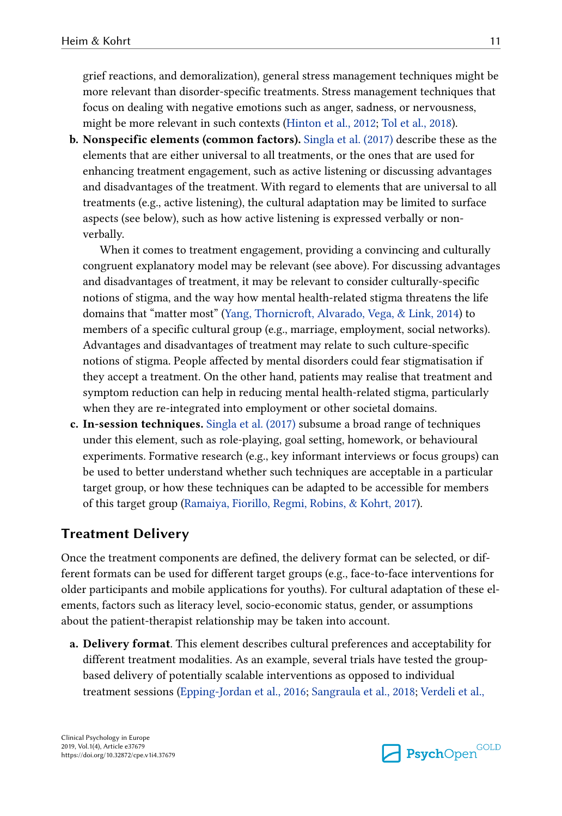grief reactions, and demoralization), general stress management techniques might be more relevant than disorder-specific treatments. Stress management techniques that focus on dealing with negative emotions such as anger, sadness, or nervousness, might be more relevant in such contexts ([Hinton et al., 2012](#page-17-0); [Tol et al., 2018](#page-20-0)).

b. Nonspecific elements (common factors). [Singla et al. \(2017\)](#page-19-0) describe these as the elements that are either universal to all treatments, or the ones that are used for enhancing treatment engagement, such as active listening or discussing advantages and disadvantages of the treatment. With regard to elements that are universal to all treatments (e.g., active listening), the cultural adaptation may be limited to surface aspects (see below), such as how active listening is expressed verbally or nonverbally.

When it comes to treatment engagement, providing a convincing and culturally congruent explanatory model may be relevant (see above). For discussing advantages and disadvantages of treatment, it may be relevant to consider culturally-specific notions of stigma, and the way how mental health-related stigma threatens the life domains that "matter most" [\(Yang, Thornicroft, Alvarado, Vega, & Link, 2014](#page-20-0)) to members of a specific cultural group (e.g., marriage, employment, social networks). Advantages and disadvantages of treatment may relate to such culture-specific notions of stigma. People affected by mental disorders could fear stigmatisation if they accept a treatment. On the other hand, patients may realise that treatment and symptom reduction can help in reducing mental health-related stigma, particularly when they are re-integrated into employment or other societal domains.

c. In-session techniques. [Singla et al. \(2017\)](#page-19-0) subsume a broad range of techniques under this element, such as role-playing, goal setting, homework, or behavioural experiments. Formative research (e.g., key informant interviews or focus groups) can be used to better understand whether such techniques are acceptable in a particular target group, or how these techniques can be adapted to be accessible for members of this target group ([Ramaiya, Fiorillo, Regmi, Robins, & Kohrt, 2017\)](#page-18-0).

#### Treatment Delivery

Once the treatment components are defined, the delivery format can be selected, or dif‐ ferent formats can be used for different target groups (e.g., face-to-face interventions for older participants and mobile applications for youths). For cultural adaptation of these el‐ ements, factors such as literacy level, socio-economic status, gender, or assumptions about the patient-therapist relationship may be taken into account.

a. Delivery format. This element describes cultural preferences and acceptability for different treatment modalities. As an example, several trials have tested the groupbased delivery of potentially scalable interventions as opposed to individual treatment sessions [\(Epping-Jordan et al., 2016;](#page-16-0) [Sangraula et al., 2018;](#page-19-0) [Verdeli et al.,](#page-20-0)

Clinical Psychology in Europe 2019, Vol.1(4), Article e37679 https://doi.org/10.32872/cpe.v1i4.37679

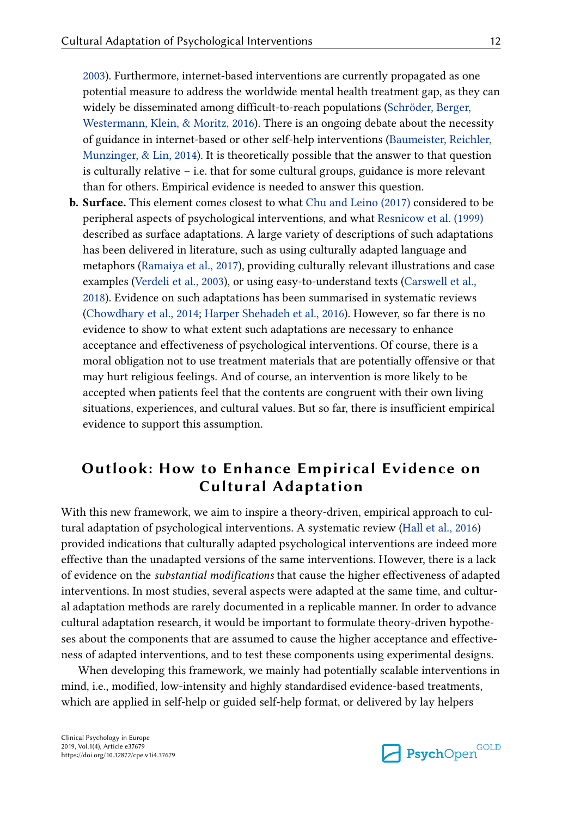[2003\)](#page-20-0). Furthermore, internet-based interventions are currently propagated as one potential measure to address the worldwide mental health treatment gap, as they can widely be disseminated among difficult-to-reach populations ([Schröder, Berger,](#page-19-0) [Westermann, Klein, & Moritz, 2016\)](#page-19-0). There is an ongoing debate about the necessity of guidance in internet-based or other self-help interventions [\(Baumeister, Reichler,](#page-15-0) [Munzinger, & Lin, 2014](#page-15-0)). It is theoretically possible that the answer to that question is culturally relative – i.e. that for some cultural groups, guidance is more relevant than for others. Empirical evidence is needed to answer this question.

b. Surface. This element comes closest to what [Chu and Leino \(2017\)](#page-15-0) considered to be peripheral aspects of psychological interventions, and what [Resnicow et al. \(1999\)](#page-19-0) described as surface adaptations. A large variety of descriptions of such adaptations has been delivered in literature, such as using culturally adapted language and metaphors ([Ramaiya et al., 2017](#page-18-0)), providing culturally relevant illustrations and case examples [\(Verdeli et al., 2003](#page-20-0)), or using easy-to-understand texts ([Carswell et al.,](#page-15-0) [2018\)](#page-15-0). Evidence on such adaptations has been summarised in systematic reviews [\(Chowdhary et al., 2014;](#page-15-0) [Harper Shehadeh et al., 2016\)](#page-17-0). However, so far there is no evidence to show to what extent such adaptations are necessary to enhance acceptance and effectiveness of psychological interventions. Of course, there is a moral obligation not to use treatment materials that are potentially offensive or that may hurt religious feelings. And of course, an intervention is more likely to be accepted when patients feel that the contents are congruent with their own living situations, experiences, and cultural values. But so far, there is insufficient empirical evidence to support this assumption.

## Outlook: How to Enhance Empirical Evidence on Cultural Adaptation

With this new framework, we aim to inspire a theory-driven, empirical approach to cultural adaptation of psychological interventions. A systematic review [\(Hall et al., 2016\)](#page-16-0) provided indications that culturally adapted psychological interventions are indeed more effective than the unadapted versions of the same interventions. However, there is a lack of evidence on the substantial modifications that cause the higher effectiveness of adapted interventions. In most studies, several aspects were adapted at the same time, and cultural adaptation methods are rarely documented in a replicable manner. In order to advance cultural adaptation research, it would be important to formulate theory-driven hypothe‐ ses about the components that are assumed to cause the higher acceptance and effectiveness of adapted interventions, and to test these components using experimental designs.

When developing this framework, we mainly had potentially scalable interventions in mind, i.e., modified, low-intensity and highly standardised evidence-based treatments, which are applied in self-help or guided self-help format, or delivered by lay helpers

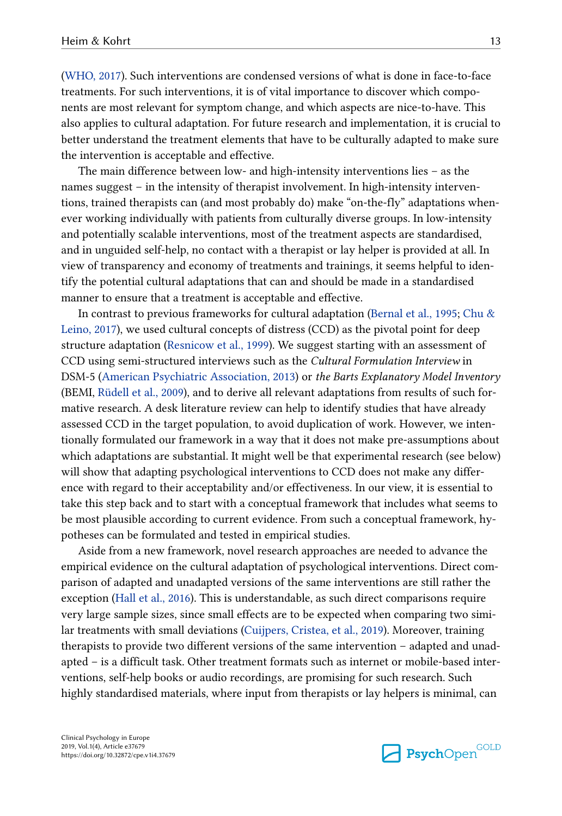[\(WHO, 2017\)](#page-20-0). Such interventions are condensed versions of what is done in face-to-face treatments. For such interventions, it is of vital importance to discover which components are most relevant for symptom change, and which aspects are nice-to-have. This also applies to cultural adaptation. For future research and implementation, it is crucial to better understand the treatment elements that have to be culturally adapted to make sure the intervention is acceptable and effective.

The main difference between low- and high-intensity interventions lies – as the names suggest – in the intensity of therapist involvement. In high-intensity interventions, trained therapists can (and most probably do) make "on-the-fly" adaptations when‐ ever working individually with patients from culturally diverse groups. In low-intensity and potentially scalable interventions, most of the treatment aspects are standardised, and in unguided self-help, no contact with a therapist or lay helper is provided at all. In view of transparency and economy of treatments and trainings, it seems helpful to iden‐ tify the potential cultural adaptations that can and should be made in a standardised manner to ensure that a treatment is acceptable and effective.

In contrast to previous frameworks for cultural adaptation ([Bernal et al., 1995;](#page-15-0) [Chu &](#page-15-0) [Leino, 2017](#page-15-0)), we used cultural concepts of distress (CCD) as the pivotal point for deep structure adaptation [\(Resnicow et al., 1999\)](#page-19-0). We suggest starting with an assessment of CCD using semi-structured interviews such as the Cultural Formulation Interview in DSM-5 ([American Psychiatric Association, 2013\)](#page-15-0) or the Barts Explanatory Model Inventory (BEMI, [Rüdell et al., 2009\)](#page-19-0), and to derive all relevant adaptations from results of such for‐ mative research. A desk literature review can help to identify studies that have already assessed CCD in the target population, to avoid duplication of work. However, we intentionally formulated our framework in a way that it does not make pre-assumptions about which adaptations are substantial. It might well be that experimental research (see below) will show that adapting psychological interventions to CCD does not make any difference with regard to their acceptability and/or effectiveness. In our view, it is essential to take this step back and to start with a conceptual framework that includes what seems to be most plausible according to current evidence. From such a conceptual framework, hypotheses can be formulated and tested in empirical studies.

Aside from a new framework, novel research approaches are needed to advance the empirical evidence on the cultural adaptation of psychological interventions. Direct comparison of adapted and unadapted versions of the same interventions are still rather the exception [\(Hall et al., 2016\)](#page-16-0). This is understandable, as such direct comparisons require very large sample sizes, since small effects are to be expected when comparing two similar treatments with small deviations ([Cuijpers, Cristea, et al., 2019](#page-16-0)). Moreover, training therapists to provide two different versions of the same intervention – adapted and unad‐ apted – is a difficult task. Other treatment formats such as internet or mobile-based inter‐ ventions, self-help books or audio recordings, are promising for such research. Such highly standardised materials, where input from therapists or lay helpers is minimal, can

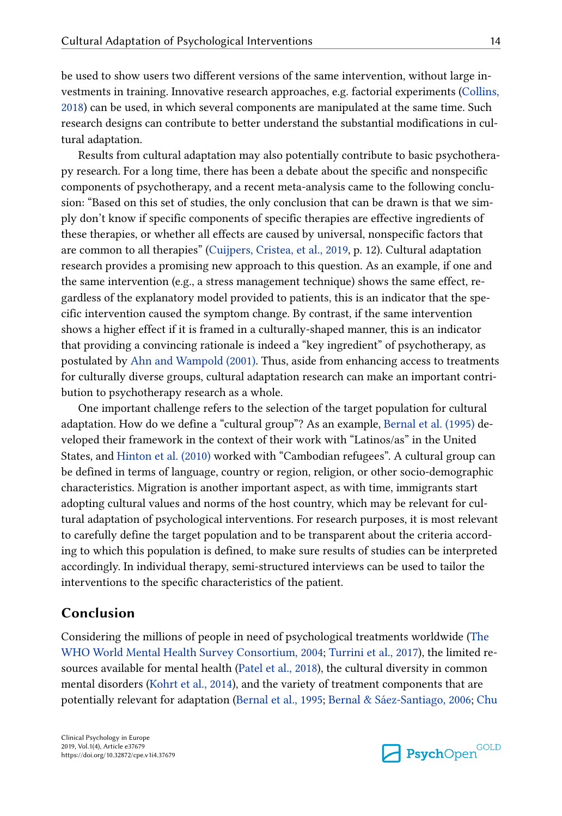be used to show users two different versions of the same intervention, without large investments in training. Innovative research approaches, e.g. factorial experiments [\(Collins,](#page-15-0) [2018\)](#page-15-0) can be used, in which several components are manipulated at the same time. Such research designs can contribute to better understand the substantial modifications in cultural adaptation.

Results from cultural adaptation may also potentially contribute to basic psychothera‐ py research. For a long time, there has been a debate about the specific and nonspecific components of psychotherapy, and a recent meta-analysis came to the following conclu‐ sion: "Based on this set of studies, the only conclusion that can be drawn is that we simply don't know if specific components of specific therapies are effective ingredients of these therapies, or whether all effects are caused by universal, nonspecific factors that are common to all therapies" [\(Cuijpers, Cristea, et al., 2019,](#page-16-0) p. 12). Cultural adaptation research provides a promising new approach to this question. As an example, if one and the same intervention (e.g., a stress management technique) shows the same effect, regardless of the explanatory model provided to patients, this is an indicator that the specific intervention caused the symptom change. By contrast, if the same intervention shows a higher effect if it is framed in a culturally-shaped manner, this is an indicator that providing a convincing rationale is indeed a "key ingredient" of psychotherapy, as postulated by [Ahn and Wampold \(2001\).](#page-14-0) Thus, aside from enhancing access to treatments for culturally diverse groups, cultural adaptation research can make an important contribution to psychotherapy research as a whole.

One important challenge refers to the selection of the target population for cultural adaptation. How do we define a "cultural group"? As an example, [Bernal et al. \(1995\)](#page-15-0) de‐ veloped their framework in the context of their work with "Latinos/as" in the United States, and [Hinton et al. \(2010\)](#page-17-0) worked with "Cambodian refugees". A cultural group can be defined in terms of language, country or region, religion, or other socio-demographic characteristics. Migration is another important aspect, as with time, immigrants start adopting cultural values and norms of the host country, which may be relevant for cultural adaptation of psychological interventions. For research purposes, it is most relevant to carefully define the target population and to be transparent about the criteria accord‐ ing to which this population is defined, to make sure results of studies can be interpreted accordingly. In individual therapy, semi-structured interviews can be used to tailor the interventions to the specific characteristics of the patient.

#### Conclusion

Considering the millions of people in need of psychological treatments worldwide [\(The](#page-19-0) [WHO World Mental Health Survey Consortium, 2004](#page-19-0); [Turrini et al., 2017](#page-20-0)), the limited resources available for mental health ([Patel et al., 2018](#page-18-0)), the cultural diversity in common mental disorders ([Kohrt et al., 2014](#page-17-0)), and the variety of treatment components that are potentially relevant for adaptation ([Bernal et al., 1995;](#page-15-0) [Bernal & Sáez-Santiago, 2006](#page-15-0); [Chu](#page-15-0)

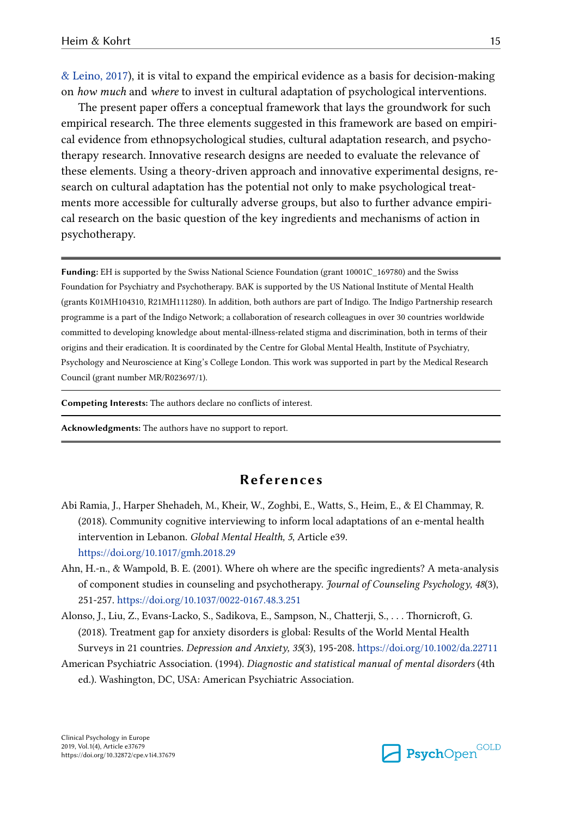<span id="page-14-0"></span>[& Leino, 2017\)](#page-15-0), it is vital to expand the empirical evidence as a basis for decision-making on how much and where to invest in cultural adaptation of psychological interventions.

The present paper offers a conceptual framework that lays the groundwork for such empirical research. The three elements suggested in this framework are based on empirical evidence from ethnopsychological studies, cultural adaptation research, and psychotherapy research. Innovative research designs are needed to evaluate the relevance of these elements. Using a theory-driven approach and innovative experimental designs, re‐ search on cultural adaptation has the potential not only to make psychological treatments more accessible for culturally adverse groups, but also to further advance empirical research on the basic question of the key ingredients and mechanisms of action in psychotherapy.

Funding: EH is supported by the Swiss National Science Foundation (grant 10001C\_169780) and the Swiss Foundation for Psychiatry and Psychotherapy. BAK is supported by the US National Institute of Mental Health (grants K01MH104310, R21MH111280). In addition, both authors are part of Indigo. The Indigo Partnership research programme is a part of the Indigo Network; a collaboration of research colleagues in over 30 countries worldwide committed to developing knowledge about mental-illness-related stigma and discrimination, both in terms of their origins and their eradication. It is coordinated by the Centre for Global Mental Health, Institute of Psychiatry, Psychology and Neuroscience at King's College London. This work was supported in part by the Medical Research Council (grant number MR/R023697/1).

Competing Interests: The authors declare no conflicts of interest.

Acknowledgments: The authors have no support to report.

#### References

- Abi Ramia, J., Harper Shehadeh, M., Kheir, W., Zoghbi, E., Watts, S., Heim, E., & El Chammay, R. (2018). Community cognitive interviewing to inform local adaptations of an e-mental health intervention in Lebanon. Global Mental Health, 5, Article e39. <https://doi.org/10.1017/gmh.2018.29>
- Ahn, H.-n., & Wampold, B. E. (2001). Where oh where are the specific ingredients? A meta-analysis of component studies in counseling and psychotherapy. Journal of Counseling Psychology, 48(3), 251-257. <https://doi.org/10.1037/0022-0167.48.3.251>
- Alonso, J., Liu, Z., Evans-Lacko, S., Sadikova, E., Sampson, N., Chatterji, S., . . . Thornicroft, G. (2018). Treatment gap for anxiety disorders is global: Results of the World Mental Health Surveys in 21 countries. Depression and Anxiety, 35(3), 195-208. <https://doi.org/10.1002/da.22711>
- American Psychiatric Association. (1994). Diagnostic and statistical manual of mental disorders (4th ed.). Washington, DC, USA: American Psychiatric Association.

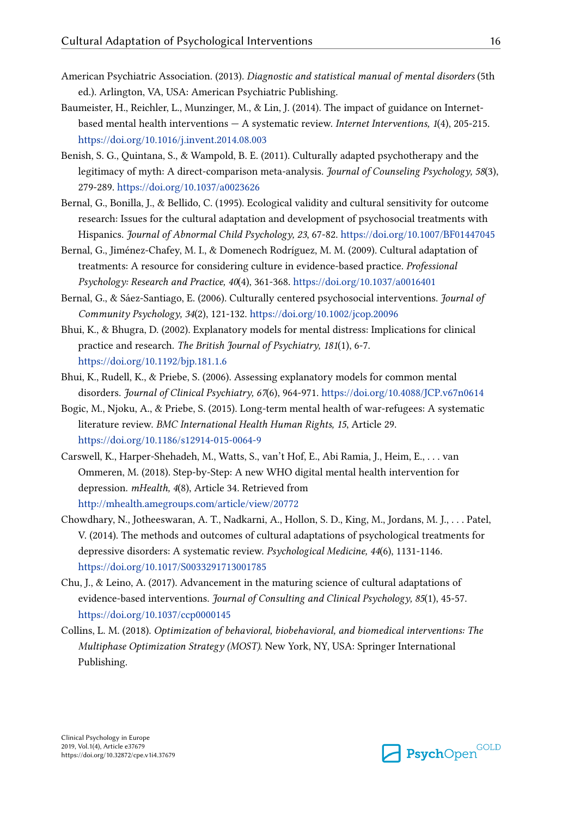- <span id="page-15-0"></span>American Psychiatric Association. (2013). Diagnostic and statistical manual of mental disorders (5th ed.). Arlington, VA, USA: American Psychiatric Publishing.
- Baumeister, H., Reichler, L., Munzinger, M., & Lin, J. (2014). The impact of guidance on Internetbased mental health interventions  $-A$  systematic review. Internet Interventions,  $1(4)$ , 205-215. <https://doi.org/10.1016/j.invent.2014.08.003>
- Benish, S. G., Quintana, S., & Wampold, B. E. (2011). Culturally adapted psychotherapy and the legitimacy of myth: A direct-comparison meta-analysis. Journal of Counseling Psychology, 58(3), 279-289. <https://doi.org/10.1037/a0023626>
- Bernal, G., Bonilla, J., & Bellido, C. (1995). Ecological validity and cultural sensitivity for outcome research: Issues for the cultural adaptation and development of psychosocial treatments with Hispanics. Journal of Abnormal Child Psychology, 23, 67-82. <https://doi.org/10.1007/BF01447045>
- Bernal, G., Jiménez-Chafey, M. I., & Domenech Rodríguez, M. M. (2009). Cultural adaptation of treatments: A resource for considering culture in evidence-based practice. Professional Psychology: Research and Practice, 40(4), 361-368.<https://doi.org/10.1037/a0016401>
- Bernal, G., & Sáez-Santiago, E. (2006). Culturally centered psychosocial interventions. Journal of Community Psychology, 34(2), 121-132.<https://doi.org/10.1002/jcop.20096>
- Bhui, K., & Bhugra, D. (2002). Explanatory models for mental distress: Implications for clinical practice and research. The British Journal of Psychiatry, 181(1), 6-7. <https://doi.org/10.1192/bjp.181.1.6>
- Bhui, K., Rudell, K., & Priebe, S. (2006). Assessing explanatory models for common mental disorders. Journal of Clinical Psychiatry, 67(6), 964-971. <https://doi.org/10.4088/JCP.v67n0614>
- Bogic, M., Njoku, A., & Priebe, S. (2015). Long-term mental health of war-refugees: A systematic literature review. BMC International Health Human Rights, 15, Article 29. <https://doi.org/10.1186/s12914-015-0064-9>
- Carswell, K., Harper-Shehadeh, M., Watts, S., van't Hof, E., Abi Ramia, J., Heim, E., . . . van Ommeren, M. (2018). Step-by-Step: A new WHO digital mental health intervention for depression. mHealth, 4(8), Article 34. Retrieved from <http://mhealth.amegroups.com/article/view/20772>
- Chowdhary, N., Jotheeswaran, A. T., Nadkarni, A., Hollon, S. D., King, M., Jordans, M. J., . . . Patel, V. (2014). The methods and outcomes of cultural adaptations of psychological treatments for depressive disorders: A systematic review. Psychological Medicine, 44(6), 1131-1146. <https://doi.org/10.1017/S0033291713001785>
- Chu, J., & Leino, A. (2017). Advancement in the maturing science of cultural adaptations of evidence-based interventions. Journal of Consulting and Clinical Psychology, 85(1), 45-57. <https://doi.org/10.1037/ccp0000145>
- Collins, L. M. (2018). Optimization of behavioral, biobehavioral, and biomedical interventions: The Multiphase Optimization Strategy (MOST). New York, NY, USA: Springer International Publishing.

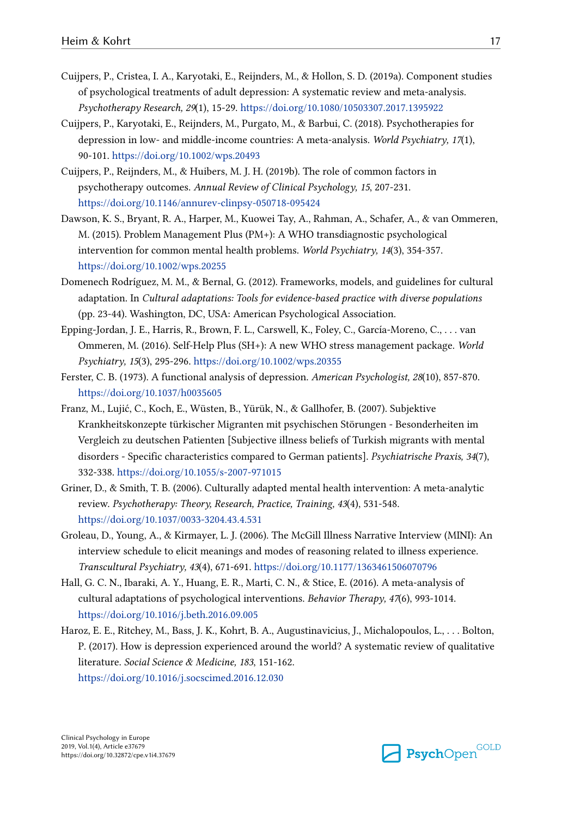- <span id="page-16-0"></span>Cuijpers, P., Cristea, I. A., Karyotaki, E., Reijnders, M., & Hollon, S. D. (2019a). Component studies of psychological treatments of adult depression: A systematic review and meta-analysis. Psychotherapy Research, 29(1), 15-29.<https://doi.org/10.1080/10503307.2017.1395922>
- Cuijpers, P., Karyotaki, E., Reijnders, M., Purgato, M., & Barbui, C. (2018). Psychotherapies for depression in low- and middle-income countries: A meta-analysis. World Psychiatry, 17(1), 90-101.<https://doi.org/10.1002/wps.20493>
- Cuijpers, P., Reijnders, M., & Huibers, M. J. H. (2019b). The role of common factors in psychotherapy outcomes. Annual Review of Clinical Psychology, 15, 207-231. <https://doi.org/10.1146/annurev-clinpsy-050718-095424>
- Dawson, K. S., Bryant, R. A., Harper, M., Kuowei Tay, A., Rahman, A., Schafer, A., & van Ommeren, M. (2015). Problem Management Plus (PM+): A WHO transdiagnostic psychological intervention for common mental health problems. World Psychiatry, 14(3), 354-357. <https://doi.org/10.1002/wps.20255>
- Domenech Rodríguez, M. M., & Bernal, G. (2012). Frameworks, models, and guidelines for cultural adaptation. In Cultural adaptations: Tools for evidence-based practice with diverse populations (pp. 23-44). Washington, DC, USA: American Psychological Association.
- Epping-Jordan, J. E., Harris, R., Brown, F. L., Carswell, K., Foley, C., García-Moreno, C., . . . van Ommeren, M. (2016). Self-Help Plus (SH+): A new WHO stress management package. World Psychiatry, 15(3), 295-296.<https://doi.org/10.1002/wps.20355>
- Ferster, C. B. (1973). A functional analysis of depression. American Psychologist, 28(10), 857-870. <https://doi.org/10.1037/h0035605>
- Franz, M., Lujić, C., Koch, E., Wüsten, B., Yürük, N., & Gallhofer, B. (2007). Subjektive Krankheitskonzepte türkischer Migranten mit psychischen Störungen - Besonderheiten im Vergleich zu deutschen Patienten [Subjective illness beliefs of Turkish migrants with mental disorders - Specific characteristics compared to German patients]. Psychiatrische Praxis, 34(7), 332-338. <https://doi.org/10.1055/s-2007-971015>
- Griner, D., & Smith, T. B. (2006). Culturally adapted mental health intervention: A meta-analytic review. Psychotherapy: Theory, Research, Practice, Training, 43(4), 531-548. <https://doi.org/10.1037/0033-3204.43.4.531>
- Groleau, D., Young, A., & Kirmayer, L. J. (2006). The McGill Illness Narrative Interview (MINI): An interview schedule to elicit meanings and modes of reasoning related to illness experience. Transcultural Psychiatry, 43(4), 671-691. <https://doi.org/10.1177/1363461506070796>
- Hall, G. C. N., Ibaraki, A. Y., Huang, E. R., Marti, C. N., & Stice, E. (2016). A meta-analysis of cultural adaptations of psychological interventions. Behavior Therapy, 47(6), 993-1014. <https://doi.org/10.1016/j.beth.2016.09.005>
- Haroz, E. E., Ritchey, M., Bass, J. K., Kohrt, B. A., Augustinavicius, J., Michalopoulos, L., . . . Bolton, P. (2017). How is depression experienced around the world? A systematic review of qualitative literature. Social Science & Medicine, 183, 151-162. <https://doi.org/10.1016/j.socscimed.2016.12.030>

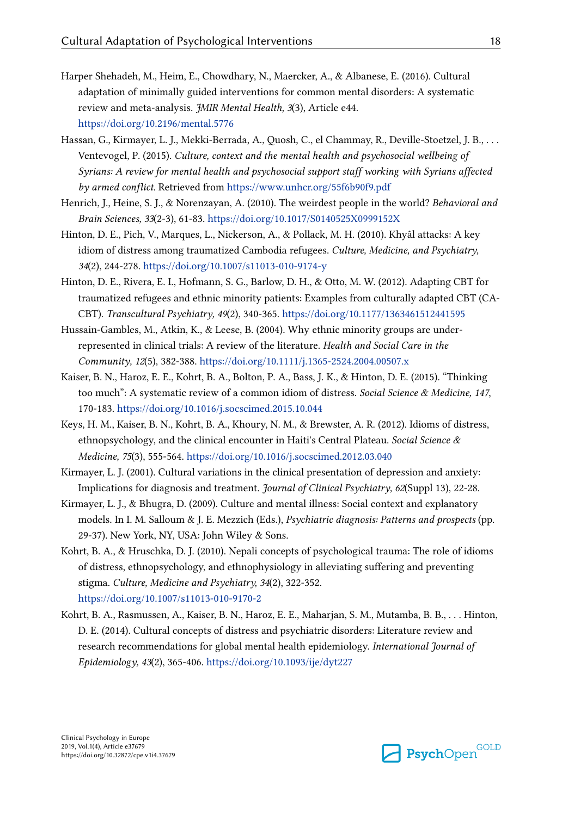- <span id="page-17-0"></span>Harper Shehadeh, M., Heim, E., Chowdhary, N., Maercker, A., & Albanese, E. (2016). Cultural adaptation of minimally guided interventions for common mental disorders: A systematic review and meta-analysis. JMIR Mental Health, 3(3), Article e44. <https://doi.org/10.2196/mental.5776>
- Hassan, G., Kirmayer, L. J., Mekki-Berrada, A., Quosh, C., el Chammay, R., Deville-Stoetzel, J. B., . . . Ventevogel, P. (2015). Culture, context and the mental health and psychosocial wellbeing of Syrians: A review for mental health and psychosocial support staff working with Syrians affected by armed conflict. Retrieved from<https://www.unhcr.org/55f6b90f9.pdf>
- Henrich, J., Heine, S. J., & Norenzayan, A. (2010). The weirdest people in the world? Behavioral and Brain Sciences, 33(2-3), 61-83.<https://doi.org/10.1017/S0140525X0999152X>
- Hinton, D. E., Pich, V., Marques, L., Nickerson, A., & Pollack, M. H. (2010). Khyâl attacks: A key idiom of distress among traumatized Cambodia refugees. Culture, Medicine, and Psychiatry, 34(2), 244-278.<https://doi.org/10.1007/s11013-010-9174-y>
- Hinton, D. E., Rivera, E. I., Hofmann, S. G., Barlow, D. H., & Otto, M. W. (2012). Adapting CBT for traumatized refugees and ethnic minority patients: Examples from culturally adapted CBT (CA-CBT). Transcultural Psychiatry, 49(2), 340-365.<https://doi.org/10.1177/1363461512441595>
- Hussain-Gambles, M., Atkin, K., & Leese, B. (2004). Why ethnic minority groups are underrepresented in clinical trials: A review of the literature. Health and Social Care in the Community, 12(5), 382-388.<https://doi.org/10.1111/j.1365-2524.2004.00507.x>
- Kaiser, B. N., Haroz, E. E., Kohrt, B. A., Bolton, P. A., Bass, J. K., & Hinton, D. E. (2015). "Thinking too much": A systematic review of a common idiom of distress. Social Science & Medicine, 147, 170-183. <https://doi.org/10.1016/j.socscimed.2015.10.044>
- Keys, H. M., Kaiser, B. N., Kohrt, B. A., Khoury, N. M., & Brewster, A. R. (2012). Idioms of distress, ethnopsychology, and the clinical encounter in Haiti's Central Plateau. Social Science & Medicine, 75(3), 555-564. <https://doi.org/10.1016/j.socscimed.2012.03.040>
- Kirmayer, L. J. (2001). Cultural variations in the clinical presentation of depression and anxiety: Implications for diagnosis and treatment. Journal of Clinical Psychiatry, 62(Suppl 13), 22-28.
- Kirmayer, L. J., & Bhugra, D. (2009). Culture and mental illness: Social context and explanatory models. In I. M. Salloum & J. E. Mezzich (Eds.), Psychiatric diagnosis: Patterns and prospects (pp. 29-37). New York, NY, USA: John Wiley & Sons.
- Kohrt, B. A., & Hruschka, D. J. (2010). Nepali concepts of psychological trauma: The role of idioms of distress, ethnopsychology, and ethnophysiology in alleviating suffering and preventing stigma. Culture, Medicine and Psychiatry, 34(2), 322-352. <https://doi.org/10.1007/s11013-010-9170-2>
- Kohrt, B. A., Rasmussen, A., Kaiser, B. N., Haroz, E. E., Maharjan, S. M., Mutamba, B. B., . . . Hinton, D. E. (2014). Cultural concepts of distress and psychiatric disorders: Literature review and research recommendations for global mental health epidemiology. International Journal of Epidemiology, 43(2), 365-406. <https://doi.org/10.1093/ije/dyt227>

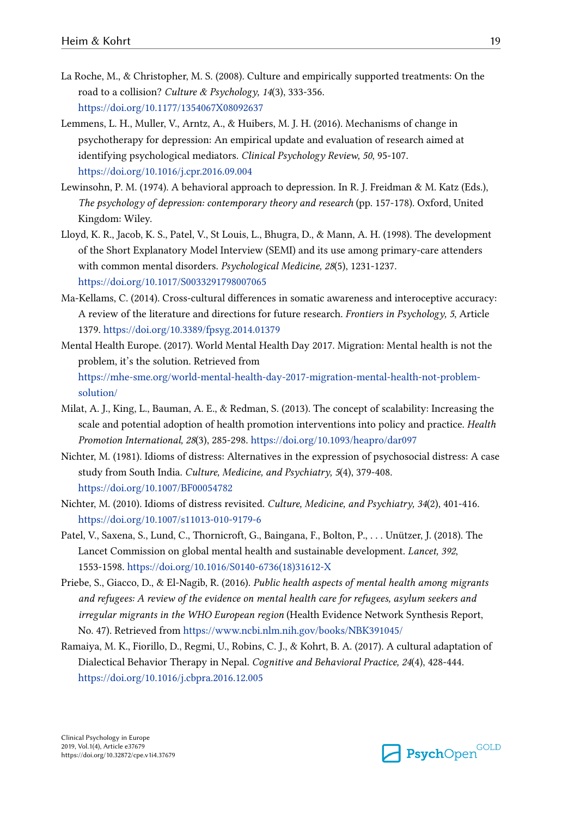- <span id="page-18-0"></span>La Roche, M., & Christopher, M. S. (2008). Culture and empirically supported treatments: On the road to a collision? Culture & Psychology, 14(3), 333-356. <https://doi.org/10.1177/1354067X08092637>
- Lemmens, L. H., Muller, V., Arntz, A., & Huibers, M. J. H. (2016). Mechanisms of change in psychotherapy for depression: An empirical update and evaluation of research aimed at identifying psychological mediators. Clinical Psychology Review, 50, 95-107. <https://doi.org/10.1016/j.cpr.2016.09.004>
- Lewinsohn, P. M. (1974). A behavioral approach to depression. In R. J. Freidman & M. Katz (Eds.), The psychology of depression: contemporary theory and research (pp. 157-178). Oxford, United Kingdom: Wiley.
- Lloyd, K. R., Jacob, K. S., Patel, V., St Louis, L., Bhugra, D., & Mann, A. H. (1998). The development of the Short Explanatory Model Interview (SEMI) and its use among primary-care attenders with common mental disorders. Psychological Medicine, 28(5), 1231-1237. <https://doi.org/10.1017/S0033291798007065>
- Ma-Kellams, C. (2014). Cross-cultural differences in somatic awareness and interoceptive accuracy: A review of the literature and directions for future research. Frontiers in Psychology, 5, Article 1379.<https://doi.org/10.3389/fpsyg.2014.01379>
- Mental Health Europe. (2017). World Mental Health Day 2017. Migration: Mental health is not the problem, it's the solution. Retrieved from [https://mhe-sme.org/world-mental-health-day-2017-migration-mental-health-not-problem](https://mhe-sme.org/world-mental-health-day-2017-migration-mental-health-not-problem-solution/)[solution/](https://mhe-sme.org/world-mental-health-day-2017-migration-mental-health-not-problem-solution/)
- Milat, A. J., King, L., Bauman, A. E., & Redman, S. (2013). The concept of scalability: Increasing the scale and potential adoption of health promotion interventions into policy and practice. Health Promotion International, 28(3), 285-298. <https://doi.org/10.1093/heapro/dar097>
- Nichter, M. (1981). Idioms of distress: Alternatives in the expression of psychosocial distress: A case study from South India. Culture, Medicine, and Psychiatry, 5(4), 379-408. <https://doi.org/10.1007/BF00054782>
- Nichter, M. (2010). Idioms of distress revisited. Culture, Medicine, and Psychiatry, 34(2), 401-416. <https://doi.org/10.1007/s11013-010-9179-6>
- Patel, V., Saxena, S., Lund, C., Thornicroft, G., Baingana, F., Bolton, P., . . . Unützer, J. (2018). The Lancet Commission on global mental health and sustainable development. Lancet, 392, 1553-1598. [https://doi.org/10.1016/S0140-6736\(18\)31612-X](https://doi.org/10.1016/S0140-6736(18)31612-X)
- Priebe, S., Giacco, D., & El-Nagib, R. (2016). Public health aspects of mental health among migrants and refugees: A review of the evidence on mental health care for refugees, asylum seekers and irregular migrants in the WHO European region (Health Evidence Network Synthesis Report, No. 47). Retrieved from <https://www.ncbi.nlm.nih.gov/books/NBK391045/>
- Ramaiya, M. K., Fiorillo, D., Regmi, U., Robins, C. J., & Kohrt, B. A. (2017). A cultural adaptation of Dialectical Behavior Therapy in Nepal. Cognitive and Behavioral Practice, 24(4), 428-444. <https://doi.org/10.1016/j.cbpra.2016.12.005>

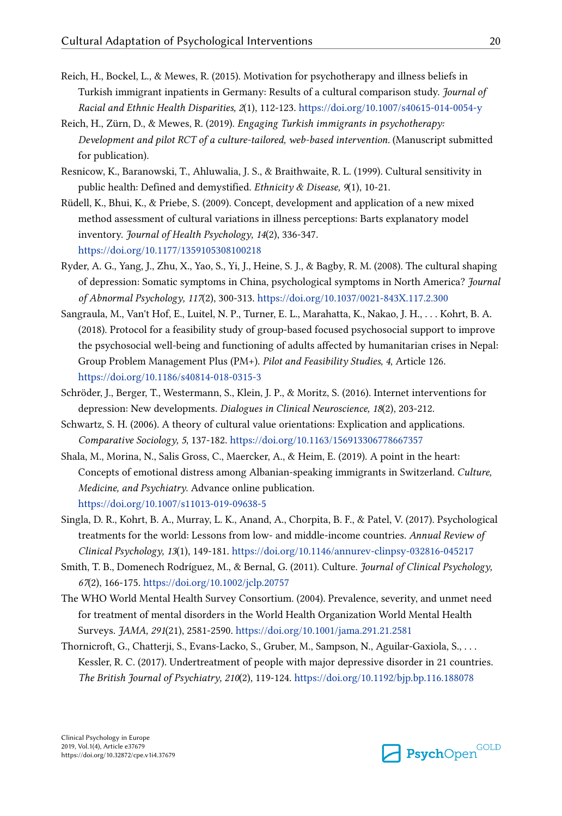- <span id="page-19-0"></span>Reich, H., Bockel, L., & Mewes, R. (2015). Motivation for psychotherapy and illness beliefs in Turkish immigrant inpatients in Germany: Results of a cultural comparison study. Journal of Racial and Ethnic Health Disparities, 2(1), 112-123. <https://doi.org/10.1007/s40615-014-0054-y>
- Reich, H., Zürn, D., & Mewes, R. (2019). Engaging Turkish immigrants in psychotherapy: Development and pilot RCT of a culture-tailored, web-based intervention. (Manuscript submitted for publication).
- Resnicow, K., Baranowski, T., Ahluwalia, J. S., & Braithwaite, R. L. (1999). Cultural sensitivity in public health: Defined and demystified. Ethnicity & Disease, 9(1), 10-21.
- Rüdell, K., Bhui, K., & Priebe, S. (2009). Concept, development and application of a new mixed method assessment of cultural variations in illness perceptions: Barts explanatory model inventory. Journal of Health Psychology, 14(2), 336-347. <https://doi.org/10.1177/1359105308100218>
- Ryder, A. G., Yang, J., Zhu, X., Yao, S., Yi, J., Heine, S. J., & Bagby, R. M. (2008). The cultural shaping of depression: Somatic symptoms in China, psychological symptoms in North America? Journal of Abnormal Psychology, 117(2), 300-313.<https://doi.org/10.1037/0021-843X.117.2.300>
- Sangraula, M., Van't Hof, E., Luitel, N. P., Turner, E. L., Marahatta, K., Nakao, J. H., . . . Kohrt, B. A. (2018). Protocol for a feasibility study of group-based focused psychosocial support to improve the psychosocial well-being and functioning of adults affected by humanitarian crises in Nepal: Group Problem Management Plus (PM+). Pilot and Feasibility Studies, 4, Article 126. <https://doi.org/10.1186/s40814-018-0315-3>
- Schröder, J., Berger, T., Westermann, S., Klein, J. P., & Moritz, S. (2016). Internet interventions for depression: New developments. Dialogues in Clinical Neuroscience, 18(2), 203-212.
- Schwartz, S. H. (2006). A theory of cultural value orientations: Explication and applications. Comparative Sociology, 5, 137-182. <https://doi.org/10.1163/156913306778667357>
- Shala, M., Morina, N., Salis Gross, C., Maercker, A., & Heim, E. (2019). A point in the heart: Concepts of emotional distress among Albanian-speaking immigrants in Switzerland. Culture, Medicine, and Psychiatry. Advance online publication. <https://doi.org/10.1007/s11013-019-09638-5>
- Singla, D. R., Kohrt, B. A., Murray, L. K., Anand, A., Chorpita, B. F., & Patel, V. (2017). Psychological treatments for the world: Lessons from low- and middle-income countries. Annual Review of Clinical Psychology, 13(1), 149-181.<https://doi.org/10.1146/annurev-clinpsy-032816-045217>
- Smith, T. B., Domenech Rodríguez, M., & Bernal, G. (2011). Culture. Journal of Clinical Psychology, 67(2), 166-175.<https://doi.org/10.1002/jclp.20757>
- The WHO World Mental Health Survey Consortium. (2004). Prevalence, severity, and unmet need for treatment of mental disorders in the World Health Organization World Mental Health Surveys. JAMA, 291(21), 2581-2590.<https://doi.org/10.1001/jama.291.21.2581>
- Thornicroft, G., Chatterji, S., Evans-Lacko, S., Gruber, M., Sampson, N., Aguilar-Gaxiola, S., . . . Kessler, R. C. (2017). Undertreatment of people with major depressive disorder in 21 countries. The British Journal of Psychiatry, 210(2), 119-124.<https://doi.org/10.1192/bjp.bp.116.188078>

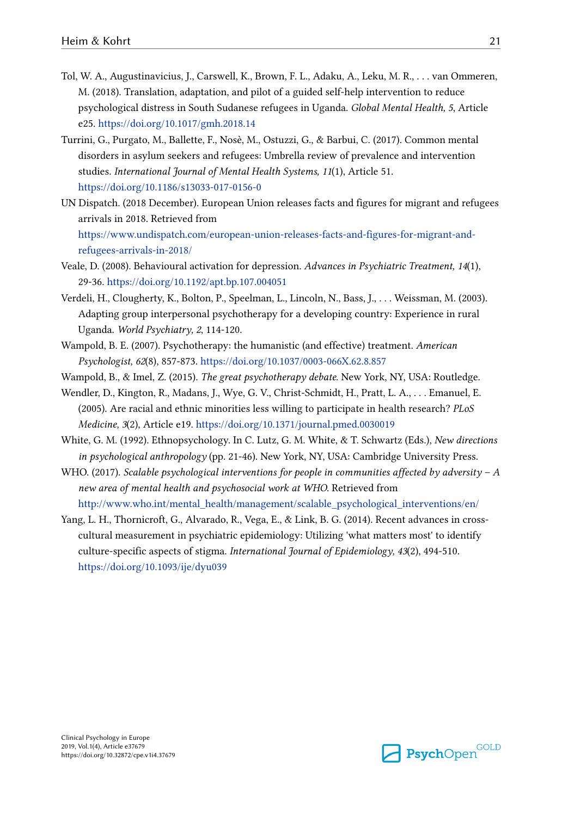- <span id="page-20-0"></span>Tol, W. A., Augustinavicius, J., Carswell, K., Brown, F. L., Adaku, A., Leku, M. R., . . . van Ommeren, M. (2018). Translation, adaptation, and pilot of a guided self-help intervention to reduce psychological distress in South Sudanese refugees in Uganda. Global Mental Health, 5, Article e25. <https://doi.org/10.1017/gmh.2018.14>
- Turrini, G., Purgato, M., Ballette, F., Nosè, M., Ostuzzi, G., & Barbui, C. (2017). Common mental disorders in asylum seekers and refugees: Umbrella review of prevalence and intervention studies. International Journal of Mental Health Systems, 11(1), Article 51. <https://doi.org/10.1186/s13033-017-0156-0>
- UN Dispatch. (2018 December). European Union releases facts and figures for migrant and refugees arrivals in 2018. Retrieved from [https://www.undispatch.com/european-union-releases-facts-and-figures-for-migrant-and](https://www.undispatch.com/european-union-releases-facts-and-figures-for-migrant-and-refugees-arrivals-in-2018/)[refugees-arrivals-in-2018/](https://www.undispatch.com/european-union-releases-facts-and-figures-for-migrant-and-refugees-arrivals-in-2018/)
- Veale, D. (2008). Behavioural activation for depression. Advances in Psychiatric Treatment, 14(1), 29-36.<https://doi.org/10.1192/apt.bp.107.004051>
- Verdeli, H., Clougherty, K., Bolton, P., Speelman, L., Lincoln, N., Bass, J., . . . Weissman, M. (2003). Adapting group interpersonal psychotherapy for a developing country: Experience in rural Uganda. World Psychiatry, 2, 114-120.
- Wampold, B. E. (2007). Psychotherapy: the humanistic (and effective) treatment. American Psychologist, 62(8), 857-873. <https://doi.org/10.1037/0003-066X.62.8.857>
- Wampold, B., & Imel, Z. (2015). The great psychotherapy debate. New York, NY, USA: Routledge.
- Wendler, D., Kington, R., Madans, J., Wye, G. V., Christ-Schmidt, H., Pratt, L. A., . . . Emanuel, E. (2005). Are racial and ethnic minorities less willing to participate in health research? PLoS Medicine, 3(2), Article e19.<https://doi.org/10.1371/journal.pmed.0030019>
- White, G. M. (1992). Ethnopsychology. In C. Lutz, G. M. White, & T. Schwartz (Eds.), New directions in psychological anthropology (pp. 21-46). New York, NY, USA: Cambridge University Press.
- WHO. (2017). Scalable psychological interventions for people in communities affected by adversity A new area of mental health and psychosocial work at WHO. Retrieved from [http://www.who.int/mental\\_health/management/scalable\\_psychological\\_interventions/en/](http://www.who.int/mental_health/management/scalable_psychological_interventions/en/)
- Yang, L. H., Thornicroft, G., Alvarado, R., Vega, E., & Link, B. G. (2014). Recent advances in crosscultural measurement in psychiatric epidemiology: Utilizing 'what matters most' to identify culture-specific aspects of stigma. International Journal of Epidemiology, 43(2), 494-510. <https://doi.org/10.1093/ije/dyu039>